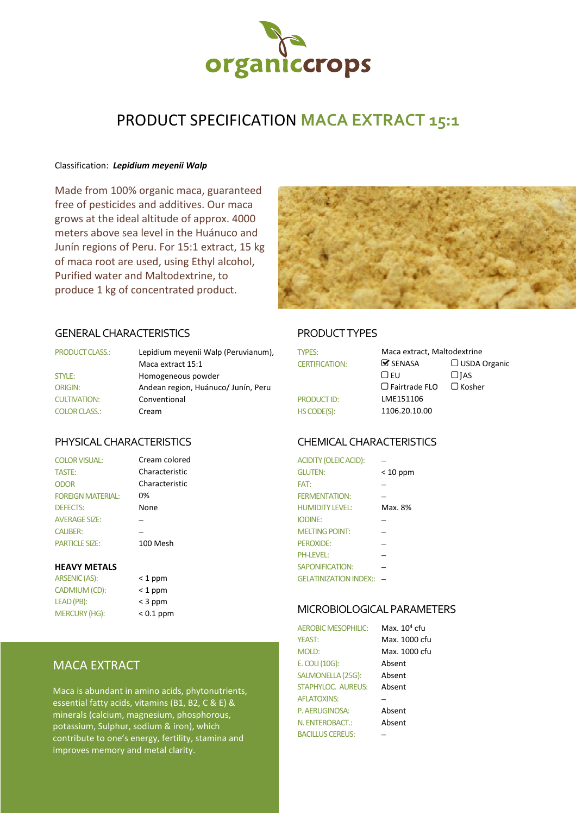

# PRODUCT SPECIFICATION **MACA EXTRACT 15:1**

#### Classification: *Lepidium meyenii Walp*

Made from 100% organic maca, guaranteed free of pesticides and additives. Our maca grows at the ideal altitude of approx. 4000 meters above sea level in the Huánuco and Junín regions of Peru. For 15:1 extract, 15 kg of maca root are used, using Ethyl alcohol, Purified water and Maltodextrine, to produce 1 kg of concentrated product.



#### GENERAL CHARACTERISTICS PRODUCT TYPES

| <b>PRODUCT CLASS.:</b> | Lepidium meyenii Walp (Peruvianum), | <b>TYPES:</b>         | Maca extract, Maltodextrine   |               |
|------------------------|-------------------------------------|-----------------------|-------------------------------|---------------|
|                        | Maca extract 15:1                   | <b>CERTIFICATION:</b> | $\mathbf{\mathcal{S}}$ SENASA | $\Box$ USDA C |
| STYLE:                 | Homogeneous powder                  |                       | LJ EU                         | $\Box$ IAS    |
| <b>ORIGIN:</b>         | Andean region, Huánuco/Junín, Peru  |                       | $\Box$ Fairtrade FLO          | $\Box$ Kosher |
| <b>CULTIVATION:</b>    | Conventional                        | <b>PRODUCT ID:</b>    | LME151106                     |               |
| <b>COLOR CLASS.:</b>   | Cream                               | HS CODE(S):           | 1106.20.10.00                 |               |

Cream colored

| <b>COLOR VISUAL:</b>     |  |
|--------------------------|--|
| <b>TASTE:</b>            |  |
| ODOR                     |  |
| <b>FOREIGN MATERIAL:</b> |  |
| <b>DEFECTS:</b>          |  |
| <b>AVERAGE SIZE:</b>     |  |
| <b>CALIBER:</b>          |  |
| <b>PARTICLE SIZE:</b>    |  |

| ARSENIC (AS):        | $<$ 1 ppm   |
|----------------------|-------------|
| CADMIUM (CD):        | $<$ 1 ppm   |
| LEAD (PB):           | $<$ 3 ppm   |
| <b>MERCURY (HG):</b> | $< 0.1$ ppm |

| < 1 ppm               |
|-----------------------|
| < 1 ppm               |
| < 3 ppm               |
| $\sim$ $\Gamma$ 1 nnm |

## MACA EXTRACT

Maca is abundant in amino acids, phytonutrients, essential fatty acids, vitamins (B1, B2, C & E) & minerals (calcium, magnesium, phosphorous, potassium, Sulphur, sodium & iron), which contribute to one's energy, fertility, stamina and improves memory and metal clarity.

| <b>TYPES:</b>         | Maca extract, Maltodextrine   |                     |
|-----------------------|-------------------------------|---------------------|
| <b>CERTIFICATION:</b> | $\mathbf{\mathcal{C}}$ SENASA | $\Box$ USDA Organic |
|                       | $\bigcap$ FU                  | $\Box$ JAS          |
|                       | $\Box$ Fairtrade FLO          | $\Box$ Kosher       |
| <b>PRODUCT ID:</b>    | LME151106                     |                     |
| HS CODE(S):           | 1106.20.10.00                 |                     |

### PHYSICAL CHARACTERISTICS CHEMICAL CHARACTERISTICS

| <b>COLOR VISUAL:</b>     | Cream colored  | <b>ACIDITY (OLEIC ACID):</b> |            |
|--------------------------|----------------|------------------------------|------------|
| TASTE:                   | Characteristic | <b>GLUTEN:</b>               | $< 10$ ppm |
| <b>ODOR</b>              | Characteristic | FAT:                         |            |
| <b>FOREIGN MATERIAL:</b> | 0%             | <b>FERMENTATION:</b>         |            |
| <b>DEFECTS:</b>          | None           | <b>HUMIDITY LEVEL:</b>       | Max. 8%    |
| <b>AVERAGE SIZE:</b>     |                | <b>IODINE:</b>               |            |
| <b>CALIBER:</b>          |                | <b>MELTING POINT:</b>        |            |
| <b>PARTICLE SIZE:</b>    | 100 Mesh       | PEROXIDE:                    |            |
|                          |                | <b>PH-LEVEL:</b>             |            |
| <b>HEAVY METALS</b>      |                | <b>SAPONIFICATION:</b>       |            |
| ARSENIC (AS):            | $<$ 1 ppm      | GELATINIZATION INDEX:: -     |            |

#### MICROBIOLOGICAL PARAMETERS

| <b>AEROBIC MESOPHILIC:</b> | Max. 10 <sup>4</sup> cfu |
|----------------------------|--------------------------|
| <b>YEAST:</b>              | Max. 1000 cfu            |
| <b>MOLD:</b>               | Max. 1000 cfu            |
| E. COLI (10G):             | Absent                   |
| SALMONELLA (25G):          | Absent                   |
| STAPHYLOC. AUREUS:         | Absent                   |
| <b>AFLATOXINS:</b>         |                          |
| P. AERUGINOSA:             | Absent                   |
| N. ENTEROBACT.:            | Absent                   |
| <b>BACILLUS CEREUS:</b>    |                          |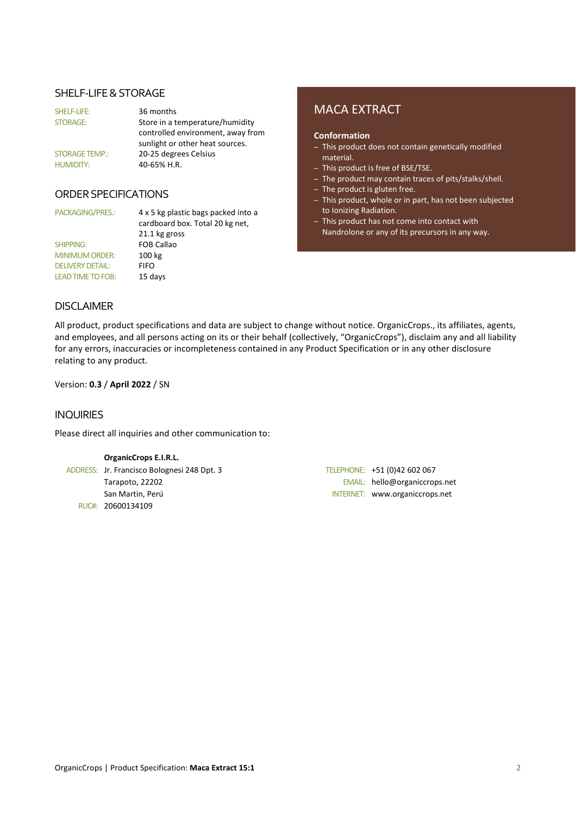#### SHELF-LIFE & STORAGE

| SHELF-LIFE:           | 36 months                         |
|-----------------------|-----------------------------------|
| <b>STORAGE:</b>       | Store in a temperature/humidity   |
|                       | controlled environment, away from |
|                       | sunlight or other heat sources.   |
| <b>STORAGE TEMP.:</b> | 20-25 degrees Celsius             |
| <b>HUMIDITY:</b>      | 40-65% H.R.                       |

#### ORDER SPECIFICATIONS

SHIPPING: FOB Callao MINIMUM ORDER: 100 kg DELIVERY DETAIL: FIFO LEAD TIME TO FOB: 15 days

PACKAGING/PRES.: 4 x 5 kg plastic bags packed into a cardboard box. Total 20 kg net, 21.1 kg gross

# MACA EXTRACT

#### **Conformation**

- This product does not contain genetically modified material.
- This product is free of BSE/TSE.
- The product may contain traces of pits/stalks/shell.
- The product is gluten free.
- This product, whole or in part, has not been subjected to Ionizing Radiation.
- This product has not come into contact with Nandrolone or any of its precursors in any way.

#### DISCLAIMER

All product, product specifications and data are subject to change without notice. OrganicCrops., its affiliates, agents, and employees, and all persons acting on its or their behalf (collectively, "OrganicCrops"), disclaim any and all liability for any errors, inaccuracies or incompleteness contained in any Product Specification or in any other disclosure relating to any product.

Version: **0.3** / **April 2022** / SN

#### INQUIRIES

Please direct all inquiries and other communication to:

#### **OrganicCrops E.I.R.L.**

ADDRESS: Jr. Francisco Bolognesi 248 Dpt. 3 TELEPHONE: +51 (0)42 602 067 RUC#: 20600134109

Tarapoto, 22202 EMAIL: hello@organiccrops.net San Martin, Perú INTERNET: www.organiccrops.net